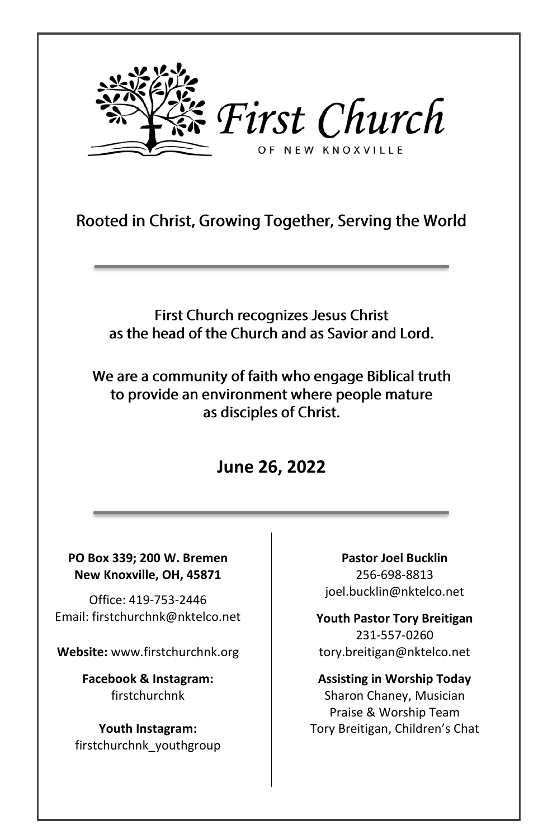

Rooted in Christ, Growing Together, Serving the World

First Church recognizes Jesus Christ as the head of the Church and as Savior and Lord.

We are a community of faith who engage Biblical truth to provide an environment where people mature as disciples of Christ.

## **June 26, 2022**

**PO Box 339; 200 W. Bremen New Knoxville, OH, 45871**

Office: 419-753-2446 Email: firstchurchnk@nktelco.net

**Website:** www.firstchurchnk.org

**Facebook & Instagram:**  firstchurchnk

**Youth Instagram:**  firstchurchnk\_youthgroup

**Pastor Joel Bucklin** 256-698-8813 joel.bucklin@nktelco.net

**Youth Pastor Tory Breitigan** 231-557-0260 tory.breitigan@nktelco.net

**Assisting in Worship Today** Sharon Chaney, Musician Praise & Worship Team Tory Breitigan, Children's Chat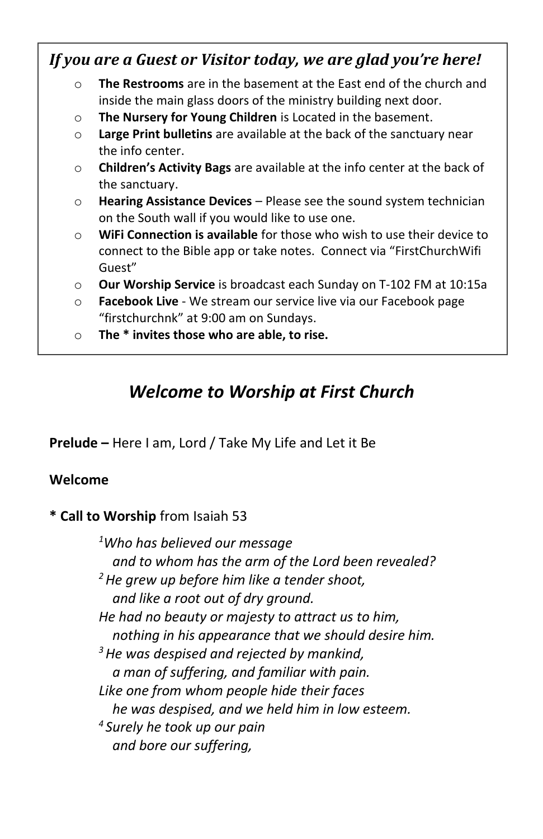### *If you are a Guest or Visitor today, we are glad you're here!*

- o **The Restrooms** are in the basement at the East end of the church and inside the main glass doors of the ministry building next door.
- o **The Nursery for Young Children** is Located in the basement.
- o **Large Print bulletins** are available at the back of the sanctuary near the info center.
- o **Children's Activity Bags** are available at the info center at the back of the sanctuary.
- o **Hearing Assistance Devices**  Please see the sound system technician on the South wall if you would like to use one.
- o **WiFi Connection is available** for those who wish to use their device to connect to the Bible app or take notes. Connect via "FirstChurchWifi Guest"
- o **Our Worship Service** is broadcast each Sunday on T-102 FM at 10:15a
- o **Facebook Live** We stream our service live via our Facebook page "firstchurchnk" at 9:00 am on Sundays.
- o **The \* invites those who are able, to rise.**

## *Welcome to Worship at First Church*

**Prelude –** Here I am, Lord / Take My Life and Let it Be

#### **Welcome**

#### **\* Call to Worship** from Isaiah 53

*<sup>1</sup>Who has believed our message and to whom has the arm of the Lord been revealed? <sup>2</sup>He grew up before him like a tender shoot, and like a root out of dry ground. He had no beauty or majesty to attract us to him, nothing in his appearance that we should desire him. <sup>3</sup>He was despised and rejected by mankind, a man of suffering, and familiar with pain. Like one from whom people hide their faces he was despised, and we held him in low esteem. 4 Surely he took up our pain and bore our suffering,*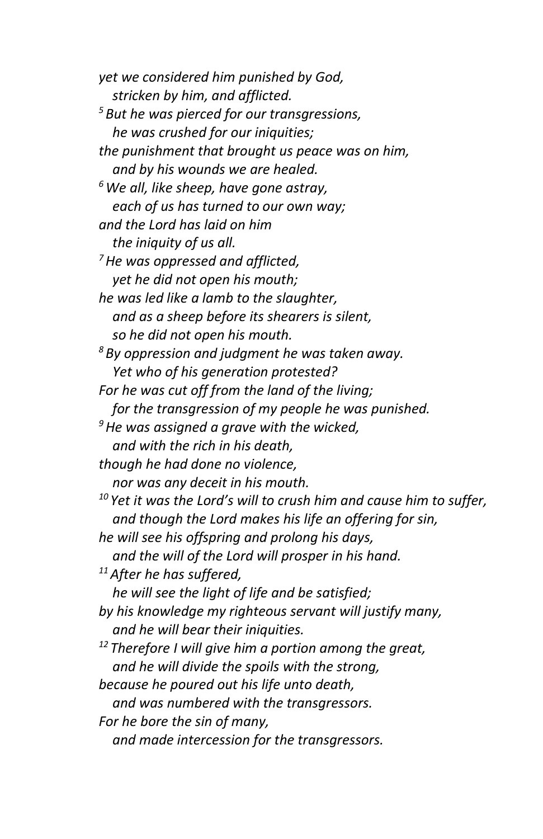*yet we considered him punished by God, stricken by him, and afflicted. <sup>5</sup> But he was pierced for our transgressions, he was crushed for our iniquities; the punishment that brought us peace was on him, and by his wounds we are healed. <sup>6</sup>We all, like sheep, have gone astray, each of us has turned to our own way; and the Lord has laid on him the iniquity of us all. <sup>7</sup>He was oppressed and afflicted, yet he did not open his mouth; he was led like a lamb to the slaughter, and as a sheep before its shearers is silent, so he did not open his mouth. <sup>8</sup> By oppression and judgment he was taken away. Yet who of his generation protested? For he was cut off from the land of the living; for the transgression of my people he was punished. <sup>9</sup>He was assigned a grave with the wicked, and with the rich in his death, though he had done no violence, nor was any deceit in his mouth. <sup>10</sup> Yet it was the Lord's will to crush him and cause him to suffer, and though the Lord makes his life an offering for sin, he will see his offspring and prolong his days, and the will of the Lord will prosper in his hand. <sup>11</sup>After he has suffered, he will see the light of life and be satisfied; by his knowledge my righteous servant will justify many, and he will bear their iniquities. <sup>12</sup> Therefore I will give him a portion among the great, and he will divide the spoils with the strong, because he poured out his life unto death, and was numbered with the transgressors. For he bore the sin of many, and made intercession for the transgressors.*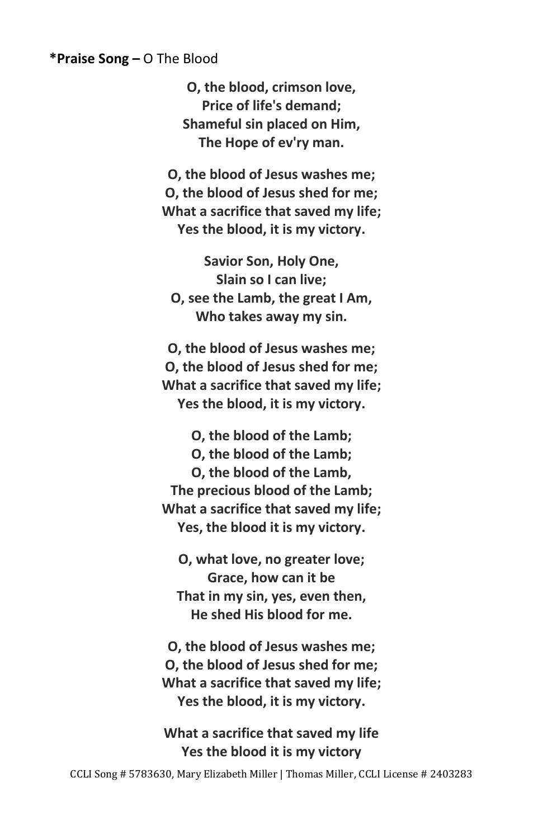#### **\*Praise Song –** O The Blood

**O, the blood, crimson love, Price of life's demand; Shameful sin placed on Him, The Hope of ev'ry man.**

**O, the blood of Jesus washes me; O, the blood of Jesus shed for me; What a sacrifice that saved my life; Yes the blood, it is my victory.**

**Savior Son, Holy One, Slain so I can live; O, see the Lamb, the great I Am, Who takes away my sin.**

**O, the blood of Jesus washes me; O, the blood of Jesus shed for me; What a sacrifice that saved my life; Yes the blood, it is my victory.**

**O, the blood of the Lamb; O, the blood of the Lamb; O, the blood of the Lamb,**

**The precious blood of the Lamb; What a sacrifice that saved my life; Yes, the blood it is my victory.**

**O, what love, no greater love; Grace, how can it be That in my sin, yes, even then, He shed His blood for me.**

**O, the blood of Jesus washes me; O, the blood of Jesus shed for me; What a sacrifice that saved my life; Yes the blood, it is my victory.**

#### **What a sacrifice that saved my life Yes the blood it is my victory**

CCLI Song # 5783630, Mary Elizabeth Miller | Thomas Miller, CCLI License # 2403283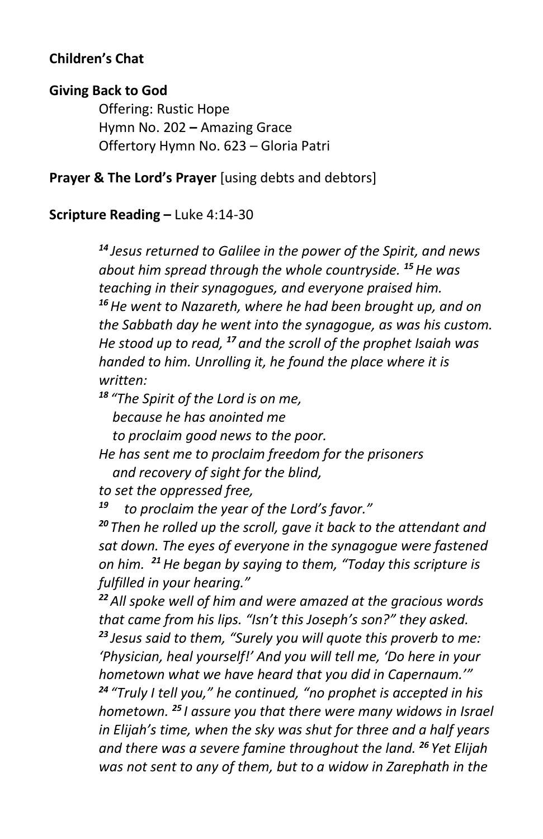#### **Children's Chat**

#### **Giving Back to God**

Offering: Rustic Hope Hymn No. 202 **–** Amazing Grace Offertory Hymn No. 623 – Gloria Patri

#### **Prayer & The Lord's Prayer** [using debts and debtors]

#### **Scripture Reading –** Luke 4:14-30

*<sup>14</sup> Jesus returned to Galilee in the power of the Spirit, and news about him spread through the whole countryside. <sup>15</sup>He was teaching in their synagogues, and everyone praised him. <sup>16</sup>He went to Nazareth, where he had been brought up, and on the Sabbath day he went into the synagogue, as was his custom. He stood up to read, <sup>17</sup> and the scroll of the prophet Isaiah was handed to him. Unrolling it, he found the place where it is written:*

*<sup>18</sup> "The Spirit of the Lord is on me,*

 *because he has anointed me*

 *to proclaim good news to the poor.*

*He has sent me to proclaim freedom for the prisoners and recovery of sight for the blind,*

*to set the oppressed free,*

*19 to proclaim the year of the Lord's favor."* 

*<sup>20</sup> Then he rolled up the scroll, gave it back to the attendant and sat down. The eyes of everyone in the synagogue were fastened on him. <sup>21</sup>He began by saying to them, "Today this scripture is fulfilled in your hearing."*

*<sup>22</sup>All spoke well of him and were amazed at the gracious words that came from his lips. "Isn't this Joseph's son?" they asked. <sup>23</sup> Jesus said to them, "Surely you will quote this proverb to me: 'Physician, heal yourself!' And you will tell me, 'Do here in your hometown what we have heard that you did in Capernaum.'" <sup>24</sup> "Truly I tell you," he continued, "no prophet is accepted in his hometown. <sup>25</sup> I assure you that there were many widows in Israel in Elijah's time, when the sky was shut for three and a half years and there was a severe famine throughout the land. <sup>26</sup> Yet Elijah was not sent to any of them, but to a widow in Zarephath in the*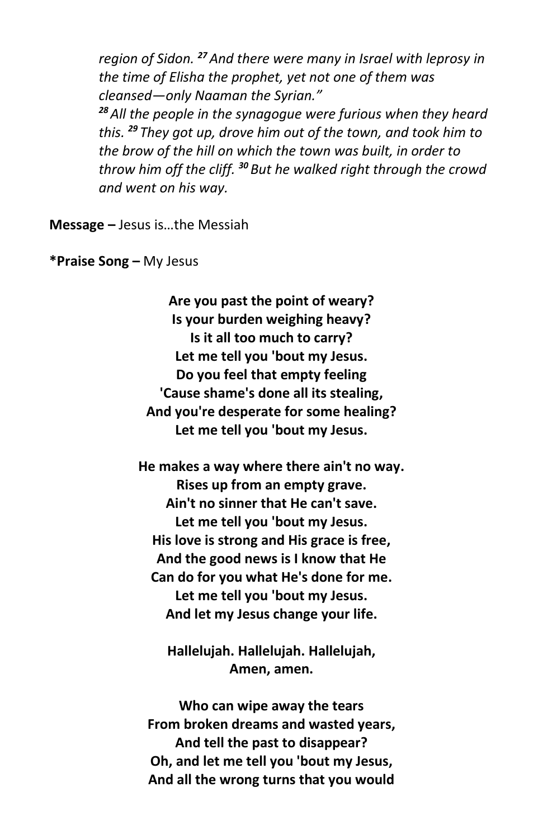*region of Sidon. <sup>27</sup>And there were many in Israel with leprosy in the time of Elisha the prophet, yet not one of them was cleansed—only Naaman the Syrian."*

*<sup>28</sup>All the people in the synagogue were furious when they heard this. <sup>29</sup> They got up, drove him out of the town, and took him to the brow of the hill on which the town was built, in order to throw him off the cliff. <sup>30</sup> But he walked right through the crowd and went on his way.*

**Message –** Jesus is…the Messiah

**\*Praise Song –** My Jesus

**Are you past the point of weary? Is your burden weighing heavy? Is it all too much to carry? Let me tell you 'bout my Jesus. Do you feel that empty feeling 'Cause shame's done all its stealing, And you're desperate for some healing? Let me tell you 'bout my Jesus.**

**He makes a way where there ain't no way. Rises up from an empty grave. Ain't no sinner that He can't save. Let me tell you 'bout my Jesus. His love is strong and His grace is free, And the good news is I know that He Can do for you what He's done for me. Let me tell you 'bout my Jesus. And let my Jesus change your life.**

> **Hallelujah. Hallelujah. Hallelujah, Amen, amen.**

**Who can wipe away the tears From broken dreams and wasted years, And tell the past to disappear? Oh, and let me tell you 'bout my Jesus, And all the wrong turns that you would**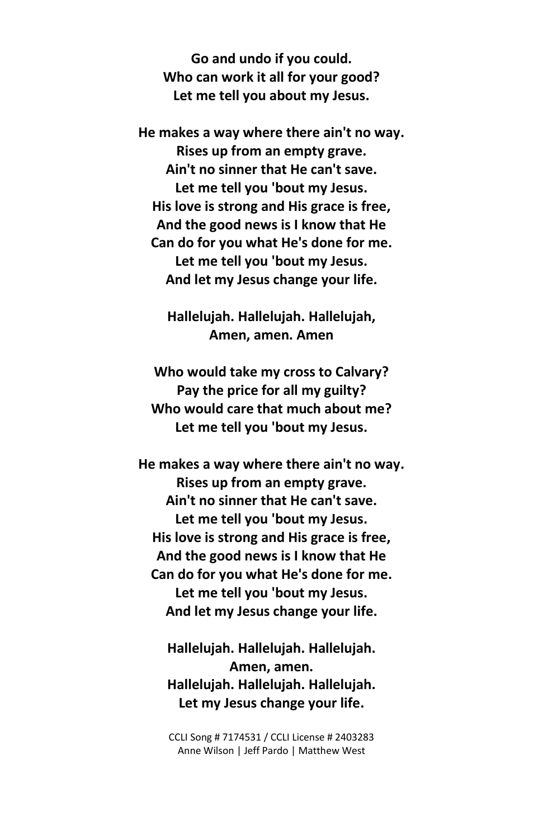**Go and undo if you could. Who can work it all for your good? Let me tell you about my Jesus.**

**He makes a way where there ain't no way. Rises up from an empty grave. Ain't no sinner that He can't save. Let me tell you 'bout my Jesus. His love is strong and His grace is free, And the good news is I know that He Can do for you what He's done for me. Let me tell you 'bout my Jesus. And let my Jesus change your life.**

> **Hallelujah. Hallelujah. Hallelujah, Amen, amen. Amen**

**Who would take my cross to Calvary? Pay the price for all my guilty? Who would care that much about me? Let me tell you 'bout my Jesus.**

**He makes a way where there ain't no way. Rises up from an empty grave. Ain't no sinner that He can't save. Let me tell you 'bout my Jesus. His love is strong and His grace is free, And the good news is I know that He Can do for you what He's done for me. Let me tell you 'bout my Jesus. And let my Jesus change your life.**

> **Hallelujah. Hallelujah. Hallelujah. Amen, amen. Hallelujah. Hallelujah. Hallelujah. Let my Jesus change your life.**

> CCLI Song # 7174531 / CCLI License # 2403283 Anne Wilson | Jeff Pardo | Matthew West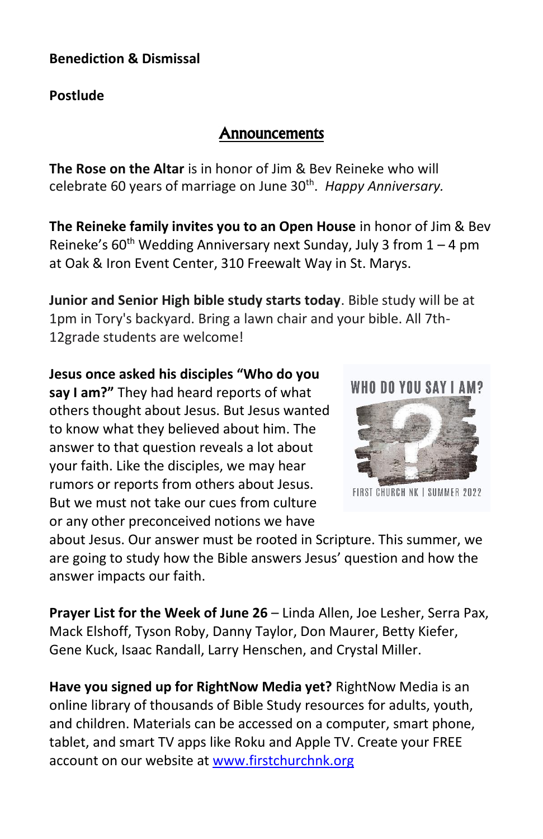#### **Benediction & Dismissal**

#### **Postlude**

#### Announcements

**The Rose on the Altar** is in honor of Jim & Bev Reineke who will celebrate 60 years of marriage on June 30th . *Happy Anniversary.*

**The Reineke family invites you to an Open House** in honor of Jim & Bev Reineke's  $60^{th}$  Wedding Anniversary next Sunday, July 3 from  $1 - 4$  pm at Oak & Iron Event Center, 310 Freewalt Way in St. Marys.

**Junior and Senior High bible study starts today**. Bible study will be at 1pm in Tory's backyard. Bring a lawn chair and your bible. All 7th-12grade students are welcome!

**Jesus once asked his disciples "Who do you say I am?"** They had heard reports of what others thought about Jesus. But Jesus wanted to know what they believed about him. The answer to that question reveals a lot about your faith. Like the disciples, we may hear rumors or reports from others about Jesus. But we must not take our cues from culture or any other preconceived notions we have





FIRST CHURCH NK I SUMMER 2022

about Jesus. Our answer must be rooted in Scripture. This summer, we are going to study how the Bible answers Jesus' question and how the answer impacts our faith.

**Prayer List for the Week of June 26** – Linda Allen, Joe Lesher, Serra Pax, Mack Elshoff, Tyson Roby, Danny Taylor, Don Maurer, Betty Kiefer, Gene Kuck, Isaac Randall, Larry Henschen, and Crystal Miller.

**Have you signed up for RightNow Media yet?** RightNow Media is an online library of thousands of Bible Study resources for adults, youth, and children. Materials can be accessed on a computer, smart phone, tablet, and smart TV apps like Roku and Apple TV. Create your FREE account on our website at [www.firstchurchnk.org](http://www.firstchurchnk.org/)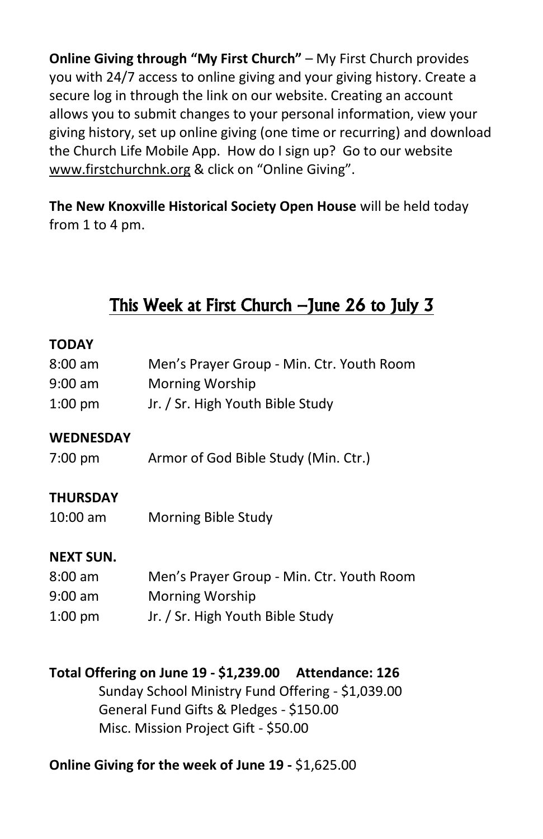**Online Giving through "My First Church"** – My First Church provides you with 24/7 access to online giving and your giving history. Create a secure log in through the link on our website. Creating an account allows you to submit changes to your personal information, view your giving history, set up online giving (one time or recurring) and download the Church Life Mobile App. How do I sign up? Go to our website www.firstchurchnk.org & click on "Online Giving".

**The New Knoxville Historical Society Open House** will be held today from 1 to 4 pm.

## This Week at First Church –June 26 to July 3

#### **TODAY**

- 8:00 am Men's Prayer Group Min. Ctr. Youth Room
- 9:00 am Morning Worship
- 1:00 pm Jr. / Sr. High Youth Bible Study

#### **WEDNESDAY**

7:00 pm Armor of God Bible Study (Min. Ctr.)

#### **THURSDAY**

10:00 am Morning Bible Study

#### **NEXT SUN.**

- 8:00 am Men's Prayer Group Min. Ctr. Youth Room
- 9:00 am Morning Worship
- 1:00 pm Jr. / Sr. High Youth Bible Study

#### **Total Offering on June 19 - \$1,239.00 Attendance: 126**

Sunday School Ministry Fund Offering - \$1,039.00 General Fund Gifts & Pledges - \$150.00 Misc. Mission Project Gift - \$50.00

#### **Online Giving for the week of June 19 -** \$1,625.00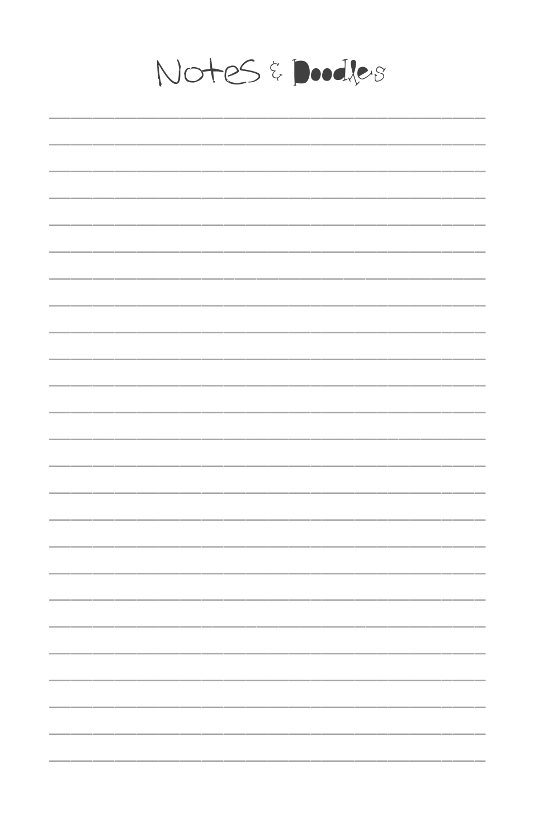| Notes & Doodlers |  |  |
|------------------|--|--|
|                  |  |  |
|                  |  |  |
|                  |  |  |
|                  |  |  |
|                  |  |  |
|                  |  |  |
|                  |  |  |
|                  |  |  |
|                  |  |  |
|                  |  |  |
|                  |  |  |